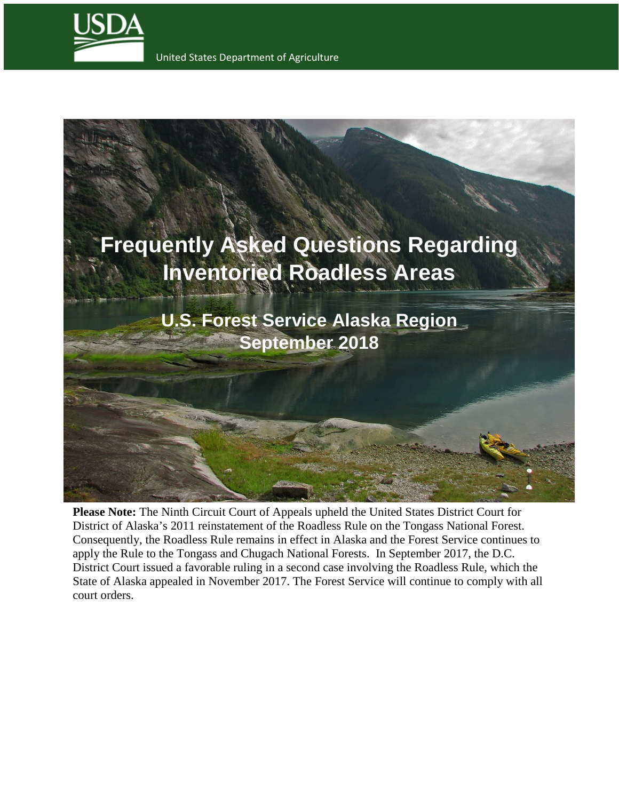

United States Department of Agriculture



**Please Note:** The Ninth Circuit Court of Appeals upheld the United States District Court for District of Alaska's 2011 reinstatement of the Roadless Rule on the Tongass National Forest. Consequently, the Roadless Rule remains in effect in Alaska and the Forest Service continues to apply the Rule to the Tongass and Chugach National Forests. In September 2017, the D.C. District Court issued a favorable ruling in a second case involving the Roadless Rule, which the State of Alaska appealed in November 2017. The Forest Service will continue to comply with all court orders.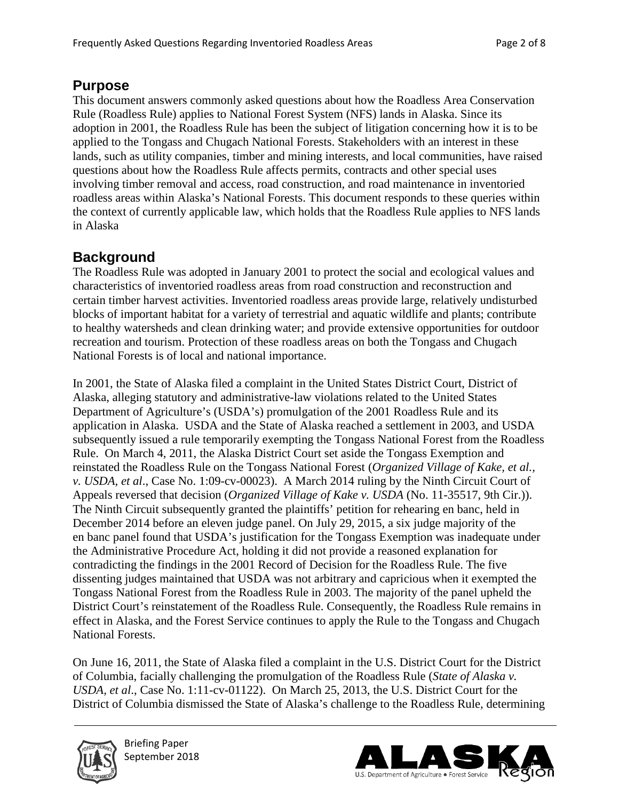## **Purpose**

This document answers commonly asked questions about how the Roadless Area Conservation Rule (Roadless Rule) applies to National Forest System (NFS) lands in Alaska. Since its adoption in 2001, the Roadless Rule has been the subject of litigation concerning how it is to be applied to the Tongass and Chugach National Forests. Stakeholders with an interest in these lands, such as utility companies, timber and mining interests, and local communities, have raised questions about how the Roadless Rule affects permits, contracts and other special uses involving timber removal and access, road construction, and road maintenance in inventoried roadless areas within Alaska's National Forests. This document responds to these queries within the context of currently applicable law, which holds that the Roadless Rule applies to NFS lands in Alaska

# **Background**

The Roadless Rule was adopted in January 2001 to protect the social and ecological values and characteristics of inventoried roadless areas from road construction and reconstruction and certain timber harvest activities. Inventoried roadless areas provide large, relatively undisturbed blocks of important habitat for a variety of terrestrial and aquatic wildlife and plants; contribute to healthy watersheds and clean drinking water; and provide extensive opportunities for outdoor recreation and tourism. Protection of these roadless areas on both the Tongass and Chugach National Forests is of local and national importance.

In 2001, the State of Alaska filed a complaint in the United States District Court, District of Alaska, alleging statutory and administrative-law violations related to the United States Department of Agriculture's (USDA's) promulgation of the 2001 Roadless Rule and its application in Alaska. USDA and the State of Alaska reached a settlement in 2003, and USDA subsequently issued a rule temporarily exempting the Tongass National Forest from the Roadless Rule. On March 4, 2011, the Alaska District Court set aside the Tongass Exemption and reinstated the Roadless Rule on the Tongass National Forest (*Organized Village of Kake, et al., v. USDA, et al*., Case No. 1:09-cv-00023). A March 2014 ruling by the Ninth Circuit Court of Appeals reversed that decision (*Organized Village of Kake v. USDA* (No. 11-35517, 9th Cir.)). The Ninth Circuit subsequently granted the plaintiffs' petition for rehearing en banc, held in December 2014 before an eleven judge panel. On July 29, 2015, a six judge majority of the en banc panel found that USDA's justification for the Tongass Exemption was inadequate under the Administrative Procedure Act, holding it did not provide a reasoned explanation for contradicting the findings in the 2001 Record of Decision for the Roadless Rule. The five dissenting judges maintained that USDA was not arbitrary and capricious when it exempted the Tongass National Forest from the Roadless Rule in 2003. The majority of the panel upheld the District Court's reinstatement of the Roadless Rule. Consequently, the Roadless Rule remains in effect in Alaska, and the Forest Service continues to apply the Rule to the Tongass and Chugach National Forests.

On June 16, 2011, the State of Alaska filed a complaint in the U.S. District Court for the District of Columbia, facially challenging the promulgation of the Roadless Rule (*State of Alaska v. USDA, et al*., Case No. 1:11-cv-01122). On March 25, 2013, the U.S. District Court for the District of Columbia dismissed the State of Alaska's challenge to the Roadless Rule, determining



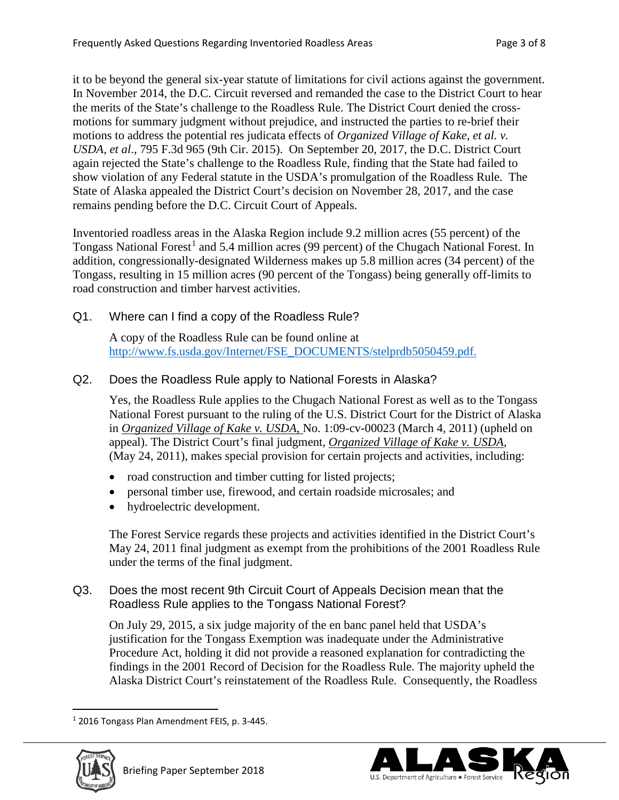it to be beyond the general six-year statute of limitations for civil actions against the government. In November 2014, the D.C. Circuit reversed and remanded the case to the District Court to hear the merits of the State's challenge to the Roadless Rule. The District Court denied the crossmotions for summary judgment without prejudice, and instructed the parties to re-brief their motions to address the potential res judicata effects of *Organized Village of Kake, et al. v. USDA, et al*., 795 F.3d 965 (9th Cir. 2015). On September 20, 2017, the D.C. District Court again rejected the State's challenge to the Roadless Rule, finding that the State had failed to show violation of any Federal statute in the USDA's promulgation of the Roadless Rule. The State of Alaska appealed the District Court's decision on November 28, 2017, and the case remains pending before the D.C. Circuit Court of Appeals.

Inventoried roadless areas in the Alaska Region include 9.2 million acres (55 percent) of the Tongass National Forest<sup>[1](#page-2-0)</sup> and 5.4 million acres (99 percent) of the Chugach National Forest. In addition, congressionally-designated Wilderness makes up 5.8 million acres (34 percent) of the Tongass, resulting in 15 million acres (90 percent of the Tongass) being generally off-limits to road construction and timber harvest activities.

Q1. Where can I find a copy of the Roadless Rule?

 A copy of the Roadless Rule can be found online at [http://www.fs.usda.gov/Internet/FSE\\_DOCUMENTS/stelprdb5050459.pdf.](http://www.fs.usda.gov/Internet/FSE_DOCUMENTS/stelprdb5050459.pdf)

## Q2. Does the Roadless Rule apply to National Forests in Alaska?

Yes, the Roadless Rule applies to the Chugach National Forest as well as to the Tongass National Forest pursuant to the ruling of the U.S. District Court for the District of Alaska in *Organized Village of Kake v. USDA,* No. 1:09-cv-00023 (March 4, 2011) (upheld on appeal). The District Court's final judgment, *Organized Village of Kake v. USDA*, (May 24, 2011), makes special provision for certain projects and activities, including:

- road construction and timber cutting for listed projects;
- personal timber use, firewood, and certain roadside microsales; and
- hydroelectric development.

The Forest Service regards these projects and activities identified in the District Court's May 24, 2011 final judgment as exempt from the prohibitions of the 2001 Roadless Rule under the terms of the final judgment.

## Q3. Does the most recent 9th Circuit Court of Appeals Decision mean that the Roadless Rule applies to the Tongass National Forest?

 On July 29, 2015, a six judge majority of the en banc panel held that USDA's justification for the Tongass Exemption was inadequate under the Administrative Procedure Act, holding it did not provide a reasoned explanation for contradicting the findings in the 2001 Record of Decision for the Roadless Rule. The majority upheld the Alaska District Court's reinstatement of the Roadless Rule. Consequently, the Roadless

<span id="page-2-0"></span> $\overline{a}$ <sup>1</sup> 2016 Tongass Plan Amendment FEIS, p. 3-445.



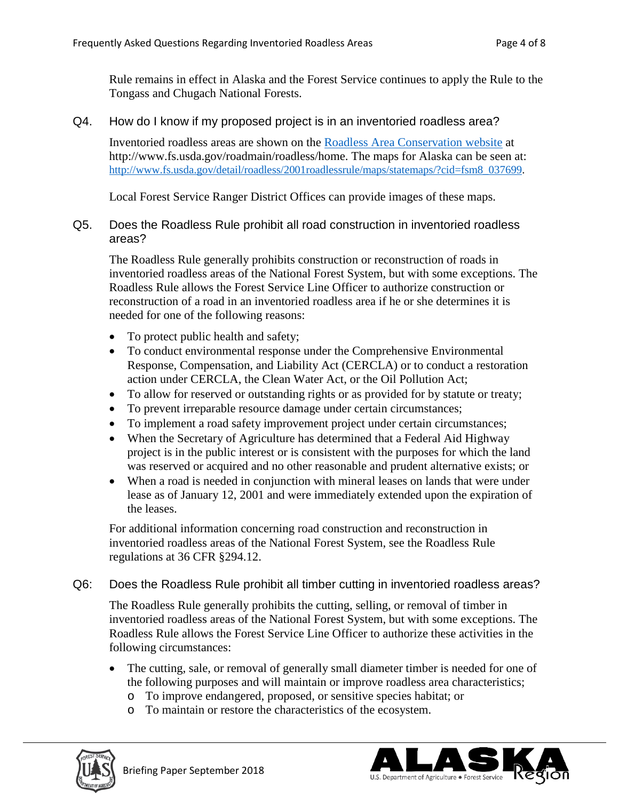Rule remains in effect in Alaska and the Forest Service continues to apply the Rule to the Tongass and Chugach National Forests.

## Q4. How do I know if my proposed project is in an inventoried roadless area?

 Inventoried roadless areas are shown on the [Roadless Area Conservation website](http://www.fs.usda.gov/roadmain/roadless/home) at http://www.fs.usda.gov/roadmain/roadless/home. The maps for Alaska can be seen at: [http://www.fs.usda.gov/detail/roadless/2001roadlessrule/maps/statemaps/?cid=fsm8\\_037699.](http://www.fs.usda.gov/detail/roadless/2001roadlessrule/maps/statemaps/?cid=fsm8_037699)

Local Forest Service Ranger District Offices can provide images of these maps.

## Q5. Does the Roadless Rule prohibit all road construction in inventoried roadless areas?

The Roadless Rule generally prohibits construction or reconstruction of roads in inventoried roadless areas of the National Forest System, but with some exceptions. The Roadless Rule allows the Forest Service Line Officer to authorize construction or reconstruction of a road in an inventoried roadless area if he or she determines it is needed for one of the following reasons:

- To protect public health and safety;
- To conduct environmental response under the Comprehensive Environmental Response, Compensation, and Liability Act (CERCLA) or to conduct a restoration action under CERCLA, the Clean Water Act, or the Oil Pollution Act;
- To allow for reserved or outstanding rights or as provided for by statute or treaty;
- To prevent irreparable resource damage under certain circumstances;
- To implement a road safety improvement project under certain circumstances;
- When the Secretary of Agriculture has determined that a Federal Aid Highway project is in the public interest or is consistent with the purposes for which the land was reserved or acquired and no other reasonable and prudent alternative exists; or
- When a road is needed in conjunction with mineral leases on lands that were under lease as of January 12, 2001 and were immediately extended upon the expiration of the leases.

For additional information concerning road construction and reconstruction in inventoried roadless areas of the National Forest System, see the Roadless Rule regulations at 36 CFR §294.12.

## Q6: Does the Roadless Rule prohibit all timber cutting in inventoried roadless areas?

The Roadless Rule generally prohibits the cutting, selling, or removal of timber in inventoried roadless areas of the National Forest System, but with some exceptions. The Roadless Rule allows the Forest Service Line Officer to authorize these activities in the following circumstances:

- The cutting, sale, or removal of generally small diameter timber is needed for one of the following purposes and will maintain or improve roadless area characteristics;
	- o To improve endangered, proposed, or sensitive species habitat; or
	- o To maintain or restore the characteristics of the ecosystem.



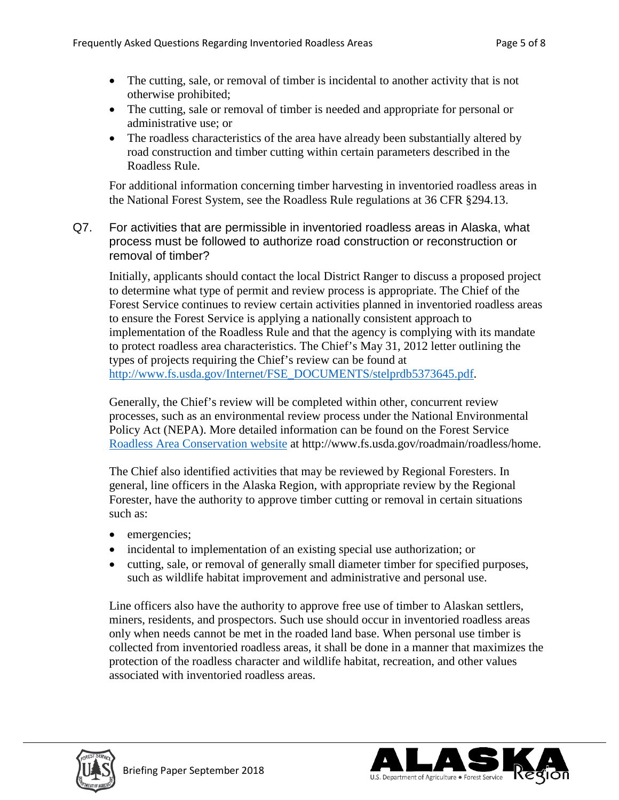- The cutting, sale, or removal of timber is incidental to another activity that is not otherwise prohibited;
- The cutting, sale or removal of timber is needed and appropriate for personal or administrative use; or
- The roadless characteristics of the area have already been substantially altered by road construction and timber cutting within certain parameters described in the Roadless Rule.

For additional information concerning timber harvesting in inventoried roadless areas in the National Forest System, see the Roadless Rule regulations at 36 CFR §294.13.

Q7. For activities that are permissible in inventoried roadless areas in Alaska, what process must be followed to authorize road construction or reconstruction or removal of timber?

Initially, applicants should contact the local District Ranger to discuss a proposed project to determine what type of permit and review process is appropriate. The Chief of the Forest Service continues to review certain activities planned in inventoried roadless areas to ensure the Forest Service is applying a nationally consistent approach to implementation of the Roadless Rule and that the agency is complying with its mandate to protect roadless area characteristics. The Chief's May 31, 2012 letter outlining the types of projects requiring the Chief's review can be found at [http://www.fs.usda.gov/Internet/FSE\\_DOCUMENTS/stelprdb5373645.pdf.](http://www.fs.usda.gov/Internet/FSE_DOCUMENTS/stelprdb5373645.pdf)

Generally, the Chief's review will be completed within other, concurrent review processes, such as an environmental review process under the National Environmental Policy Act (NEPA). More detailed information can be found on the Forest Service [Roadless Area Conservation website](http://www.fs.usda.gov/roadmain/roadless/home) at http://www.fs.usda.gov/roadmain/roadless/home.

The Chief also identified activities that may be reviewed by Regional Foresters. In general, line officers in the Alaska Region, with appropriate review by the Regional Forester, have the authority to approve timber cutting or removal in certain situations such as:

- emergencies;
- incidental to implementation of an existing special use authorization; or
- cutting, sale, or removal of generally small diameter timber for specified purposes, such as wildlife habitat improvement and administrative and personal use.

Line officers also have the authority to approve free use of timber to Alaskan settlers, miners, residents, and prospectors. Such use should occur in inventoried roadless areas only when needs cannot be met in the roaded land base. When personal use timber is collected from inventoried roadless areas, it shall be done in a manner that maximizes the protection of the roadless character and wildlife habitat, recreation, and other values associated with inventoried roadless areas.



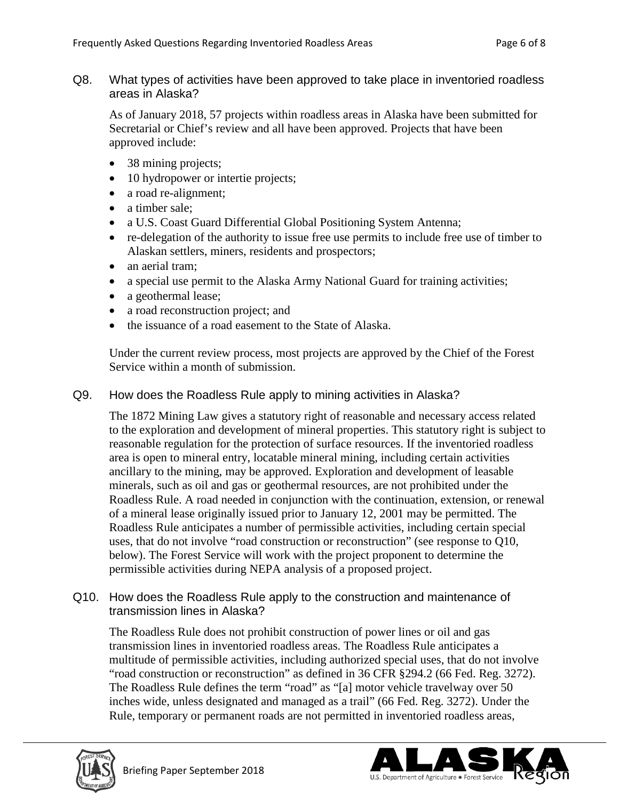Q8. What types of activities have been approved to take place in inventoried roadless areas in Alaska?

As of January 2018, 57 projects within roadless areas in Alaska have been submitted for Secretarial or Chief's review and all have been approved. Projects that have been approved include:

- 38 mining projects;
- 10 hydropower or intertie projects;
- a road re-alignment;
- a timber sale;
- a U.S. Coast Guard Differential Global Positioning System Antenna;
- re-delegation of the authority to issue free use permits to include free use of timber to Alaskan settlers, miners, residents and prospectors;
- an aerial tram:
- a special use permit to the Alaska Army National Guard for training activities;
- a geothermal lease;
- a road reconstruction project; and
- the issuance of a road easement to the State of Alaska.

Under the current review process, most projects are approved by the Chief of the Forest Service within a month of submission.

Q9. How does the Roadless Rule apply to mining activities in Alaska?

The 1872 Mining Law gives a statutory right of reasonable and necessary access related to the exploration and development of mineral properties. This statutory right is subject to reasonable regulation for the protection of surface resources. If the inventoried roadless area is open to mineral entry, locatable mineral mining, including certain activities ancillary to the mining, may be approved. Exploration and development of leasable minerals, such as oil and gas or geothermal resources, are not prohibited under the Roadless Rule. A road needed in conjunction with the continuation, extension, or renewal of a mineral lease originally issued prior to January 12, 2001 may be permitted. The Roadless Rule anticipates a number of permissible activities, including certain special uses, that do not involve "road construction or reconstruction" (see response to Q10, below). The Forest Service will work with the project proponent to determine the permissible activities during NEPA analysis of a proposed project.

Q10. How does the Roadless Rule apply to the construction and maintenance of transmission lines in Alaska?

The Roadless Rule does not prohibit construction of power lines or oil and gas transmission lines in inventoried roadless areas. The Roadless Rule anticipates a multitude of permissible activities, including authorized special uses, that do not involve "road construction or reconstruction" as defined in 36 CFR §294.2 (66 Fed. Reg. 3272). The Roadless Rule defines the term "road" as "[a] motor vehicle travelway over 50 inches wide, unless designated and managed as a trail" (66 Fed. Reg. 3272). Under the Rule, temporary or permanent roads are not permitted in inventoried roadless areas,



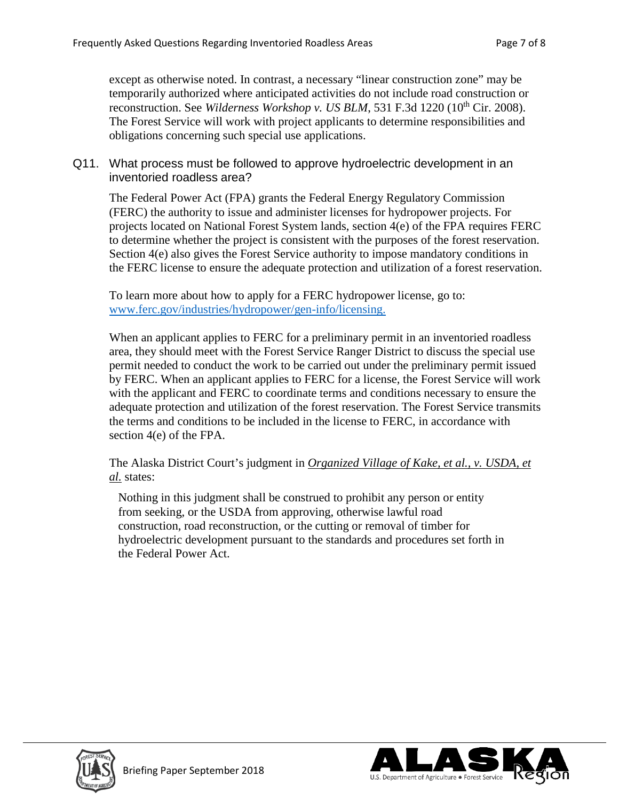except as otherwise noted. In contrast, a necessary "linear construction zone" may be temporarily authorized where anticipated activities do not include road construction or reconstruction. See *Wilderness Workshop v. US BLM*, 531 F.3d 1220 (10<sup>th</sup> Cir. 2008). The Forest Service will work with project applicants to determine responsibilities and obligations concerning such special use applications.

## Q11. What process must be followed to approve hydroelectric development in an inventoried roadless area?

The Federal Power Act (FPA) grants the Federal Energy Regulatory Commission (FERC) the authority to issue and administer licenses for hydropower projects. For projects located on National Forest System lands, section 4(e) of the FPA requires FERC to determine whether the project is consistent with the purposes of the forest reservation. Section 4(e) also gives the Forest Service authority to impose mandatory conditions in the FERC license to ensure the adequate protection and utilization of a forest reservation.

To learn more about how to apply for a FERC hydropower license, go to: [www.ferc.gov/industries/hydropower/gen-info/licensing.](http://www.ferc.gov/industries/hydropower/gen-info/licensing)

When an applicant applies to FERC for a preliminary permit in an inventoried roadless area, they should meet with the Forest Service Ranger District to discuss the special use permit needed to conduct the work to be carried out under the preliminary permit issued by FERC. When an applicant applies to FERC for a license, the Forest Service will work with the applicant and FERC to coordinate terms and conditions necessary to ensure the adequate protection and utilization of the forest reservation. The Forest Service transmits the terms and conditions to be included in the license to FERC, in accordance with section 4(e) of the FPA.

The Alaska District Court's judgment in *Organized Village of Kake, et al., v. USDA, et al.* states:

Nothing in this judgment shall be construed to prohibit any person or entity from seeking, or the USDA from approving, otherwise lawful road construction, road reconstruction, or the cutting or removal of timber for hydroelectric development pursuant to the standards and procedures set forth in the Federal Power Act.